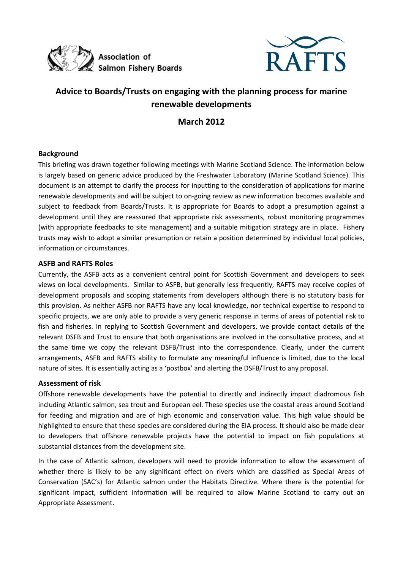



# **Advice to Boards/Trusts on engaging with the planning process for marine renewable developments**

**March 2012**

## **Background**

This briefing was drawn together following meetings with Marine Scotland Science. The information below is largely based on generic advice produced by the Freshwater Laboratory (Marine Scotland Science). This document is an attempt to clarify the process for inputting to the consideration of applications for marine renewable developments and will be subject to on-going review as new information becomes available and subject to feedback from Boards/Trusts. It is appropriate for Boards to adopt a presumption against a development until they are reassured that appropriate risk assessments, robust monitoring programmes (with appropriate feedbacks to site management) and a suitable mitigation strategy are in place. Fishery trusts may wish to adopt a similar presumption or retain a position determined by individual local policies, information or circumstances.

## **ASFB and RAFTS Roles**

Currently, the ASFB acts as a convenient central point for Scottish Government and developers to seek views on local developments. Similar to ASFB, but generally less frequently, RAFTS may receive copies of development proposals and scoping statements from developers although there is no statutory basis for this provision. As neither ASFB nor RAFTS have any local knowledge, nor technical expertise to respond to specific projects, we are only able to provide a very generic response in terms of areas of potential risk to fish and fisheries. In replying to Scottish Government and developers, we provide contact details of the relevant DSFB and Trust to ensure that both organisations are involved in the consultative process, and at the same time we copy the relevant DSFB/Trust into the correspondence. Clearly, under the current arrangements, ASFB and RAFTS ability to formulate any meaningful influence is limited, due to the local nature of sites. It is essentially acting as a 'postbox' and alerting the DSFB/Trust to any proposal.

#### **Assessment of risk**

Offshore renewable developments have the potential to directly and indirectly impact diadromous fish including Atlantic salmon, sea trout and European eel. These species use the coastal areas around Scotland for feeding and migration and are of high economic and conservation value. This high value should be highlighted to ensure that these species are considered during the EIA process. It should also be made clear to developers that offshore renewable projects have the potential to impact on fish populations at substantial distances from the development site.

In the case of Atlantic salmon, developers will need to provide information to allow the assessment of whether there is likely to be any significant effect on rivers which are classified as Special Areas of Conservation (SAC's) for Atlantic salmon under the Habitats Directive. Where there is the potential for significant impact, sufficient information will be required to allow Marine Scotland to carry out an Appropriate Assessment.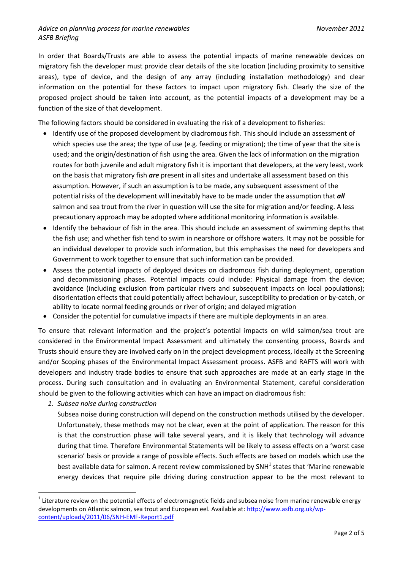In order that Boards/Trusts are able to assess the potential impacts of marine renewable devices on migratory fish the developer must provide clear details of the site location (including proximity to sensitive areas), type of device, and the design of any array (including installation methodology) and clear information on the potential for these factors to impact upon migratory fish. Clearly the size of the proposed project should be taken into account, as the potential impacts of a development may be a function of the size of that development.

The following factors should be considered in evaluating the risk of a development to fisheries:

- Identify use of the proposed development by diadromous fish. This should include an assessment of which species use the area; the type of use (e.g. feeding or migration); the time of year that the site is used; and the origin/destination of fish using the area. Given the lack of information on the migration routes for both juvenile and adult migratory fish it is important that developers, at the very least, work on the basis that migratory fish *are* present in all sites and undertake all assessment based on this assumption. However, if such an assumption is to be made, any subsequent assessment of the potential risks of the development will inevitably have to be made under the assumption that *all* salmon and sea trout from the river in question will use the site for migration and/or feeding. A less precautionary approach may be adopted where additional monitoring information is available.
- Identify the behaviour of fish in the area. This should include an assessment of swimming depths that the fish use; and whether fish tend to swim in nearshore or offshore waters. It may not be possible for an individual developer to provide such information, but this emphasises the need for developers and Government to work together to ensure that such information can be provided.
- Assess the potential impacts of deployed devices on diadromous fish during deployment, operation and decommissioning phases. Potential impacts could include: Physical damage from the device; avoidance (including exclusion from particular rivers and subsequent impacts on local populations); disorientation effects that could potentially affect behaviour, susceptibility to predation or by-catch, or ability to locate normal feeding grounds or river of origin; and delayed migration
- Consider the potential for cumulative impacts if there are multiple deployments in an area.

To ensure that relevant information and the project's potential impacts on wild salmon/sea trout are considered in the Environmental Impact Assessment and ultimately the consenting process, Boards and Trusts should ensure they are involved early on in the project development process, ideally at the Screening and/or Scoping phases of the Environmental Impact Assessment process. ASFB and RAFTS will work with developers and industry trade bodies to ensure that such approaches are made at an early stage in the process. During such consultation and in evaluating an Environmental Statement, careful consideration should be given to the following activities which can have an impact on diadromous fish:

*1. Subsea noise during construction*

**.** 

Subsea noise during construction will depend on the construction methods utilised by the developer. Unfortunately, these methods may not be clear, even at the point of application. The reason for this is that the construction phase will take several years, and it is likely that technology will advance during that time. Therefore Environmental Statements will be likely to assess effects on a 'worst case scenario' basis or provide a range of possible effects. Such effects are based on models which use the best available data for salmon. A recent review commissioned by SNH<sup>1</sup> states that 'Marine renewable energy devices that require pile driving during construction appear to be the most relevant to

 $1$  Literature review on the potential effects of electromagnetic fields and subsea noise from marine renewable energy developments on Atlantic salmon, sea trout and European eel. Available at: [http://www.asfb.org.uk/wp](http://www.asfb.org.uk/wp-content/uploads/2011/06/SNH-EMF-Report1.pdf)[content/uploads/2011/06/SNH-EMF-Report1.pdf](http://www.asfb.org.uk/wp-content/uploads/2011/06/SNH-EMF-Report1.pdf)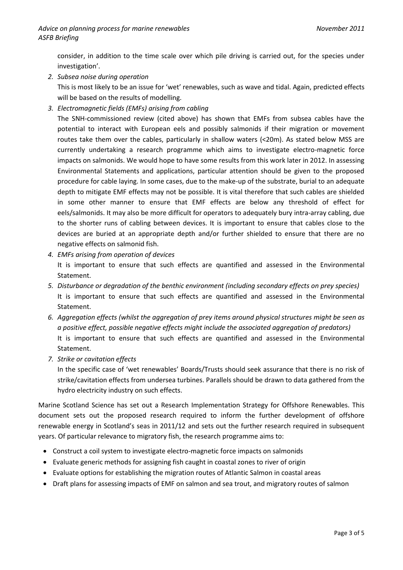consider, in addition to the time scale over which pile driving is carried out, for the species under investigation'.

*2. Subsea noise during operation*

This is most likely to be an issue for 'wet' renewables, such as wave and tidal. Again, predicted effects will be based on the results of modelling.

*3. Electromagnetic fields (EMFs) arising from cabling*

The SNH-commissioned review (cited above) has shown that EMFs from subsea cables have the potential to interact with European eels and possibly salmonids if their migration or movement routes take them over the cables, particularly in shallow waters (<20m). As stated below MSS are currently undertaking a research programme which aims to investigate electro-magnetic force impacts on salmonids. We would hope to have some results from this work later in 2012. In assessing Environmental Statements and applications, particular attention should be given to the proposed procedure for cable laying. In some cases, due to the make-up of the substrate, burial to an adequate depth to mitigate EMF effects may not be possible. It is vital therefore that such cables are shielded in some other manner to ensure that EMF effects are below any threshold of effect for eels/salmonids. It may also be more difficult for operators to adequately bury intra-array cabling, due to the shorter runs of cabling between devices. It is important to ensure that cables close to the devices are buried at an appropriate depth and/or further shielded to ensure that there are no negative effects on salmonid fish.

*4. EMFs arising from operation of devices*

It is important to ensure that such effects are quantified and assessed in the Environmental Statement.

- *5. Disturbance or degradation of the benthic environment (including secondary effects on prey species)* It is important to ensure that such effects are quantified and assessed in the Environmental Statement.
- *6. Aggregation effects (whilst the aggregation of prey items around physical structures might be seen as a positive effect, possible negative effects might include the associated aggregation of predators)* It is important to ensure that such effects are quantified and assessed in the Environmental Statement.
- *7. Strike or cavitation effects*

In the specific case of 'wet renewables' Boards/Trusts should seek assurance that there is no risk of strike/cavitation effects from undersea turbines. Parallels should be drawn to data gathered from the hydro electricity industry on such effects.

Marine Scotland Science has set out a Research Implementation Strategy for Offshore Renewables. This document sets out the proposed research required to inform the further development of offshore renewable energy in Scotland's seas in 2011/12 and sets out the further research required in subsequent years. Of particular relevance to migratory fish, the research programme aims to:

- Construct a coil system to investigate electro-magnetic force impacts on salmonids
- Evaluate generic methods for assigning fish caught in coastal zones to river of origin
- Evaluate options for establishing the migration routes of Atlantic Salmon in coastal areas
- Draft plans for assessing impacts of EMF on salmon and sea trout, and migratory routes of salmon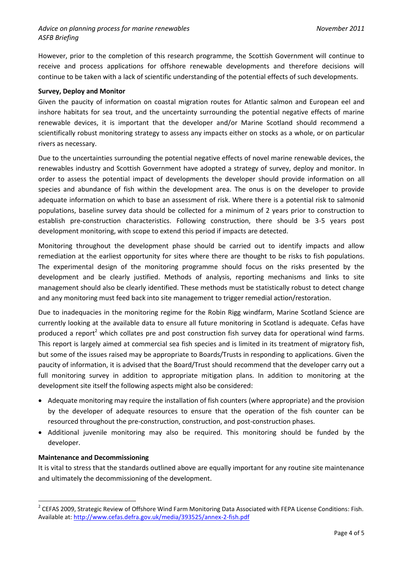However, prior to the completion of this research programme, the Scottish Government will continue to receive and process applications for offshore renewable developments and therefore decisions will continue to be taken with a lack of scientific understanding of the potential effects of such developments.

#### **Survey, Deploy and Monitor**

Given the paucity of information on coastal migration routes for Atlantic salmon and European eel and inshore habitats for sea trout, and the uncertainty surrounding the potential negative effects of marine renewable devices, it is important that the developer and/or Marine Scotland should recommend a scientifically robust monitoring strategy to assess any impacts either on stocks as a whole, or on particular rivers as necessary.

Due to the uncertainties surrounding the potential negative effects of novel marine renewable devices, the renewables industry and Scottish Government have adopted a strategy of survey, deploy and monitor. In order to assess the potential impact of developments the developer should provide information on all species and abundance of fish within the development area. The onus is on the developer to provide adequate information on which to base an assessment of risk. Where there is a potential risk to salmonid populations, baseline survey data should be collected for a minimum of 2 years prior to construction to establish pre-construction characteristics. Following construction, there should be 3-5 years post development monitoring, with scope to extend this period if impacts are detected.

Monitoring throughout the development phase should be carried out to identify impacts and allow remediation at the earliest opportunity for sites where there are thought to be risks to fish populations. The experimental design of the monitoring programme should focus on the risks presented by the development and be clearly justified. Methods of analysis, reporting mechanisms and links to site management should also be clearly identified. These methods must be statistically robust to detect change and any monitoring must feed back into site management to trigger remedial action/restoration.

Due to inadequacies in the monitoring regime for the Robin Rigg windfarm, Marine Scotland Science are currently looking at the available data to ensure all future monitoring in Scotland is adequate. Cefas have produced a report<sup>2</sup> which collates pre and post construction fish survey data for operational wind farms. This report is largely aimed at commercial sea fish species and is limited in its treatment of migratory fish, but some of the issues raised may be appropriate to Boards/Trusts in responding to applications. Given the paucity of information, it is advised that the Board/Trust should recommend that the developer carry out a full monitoring survey in addition to appropriate mitigation plans. In addition to monitoring at the development site itself the following aspects might also be considered:

- Adequate monitoring may require the installation of fish counters (where appropriate) and the provision by the developer of adequate resources to ensure that the operation of the fish counter can be resourced throughout the pre-construction, construction, and post-construction phases.
- Additional juvenile monitoring may also be required. This monitoring should be funded by the developer.

#### **Maintenance and Decommissioning**

**.** 

It is vital to stress that the standards outlined above are equally important for any routine site maintenance and ultimately the decommissioning of the development.

<sup>&</sup>lt;sup>2</sup> CEFAS 2009, Strategic Review of Offshore Wind Farm Monitoring Data Associated with FEPA License Conditions: Fish. Available at:<http://www.cefas.defra.gov.uk/media/393525/annex-2-fish.pdf>